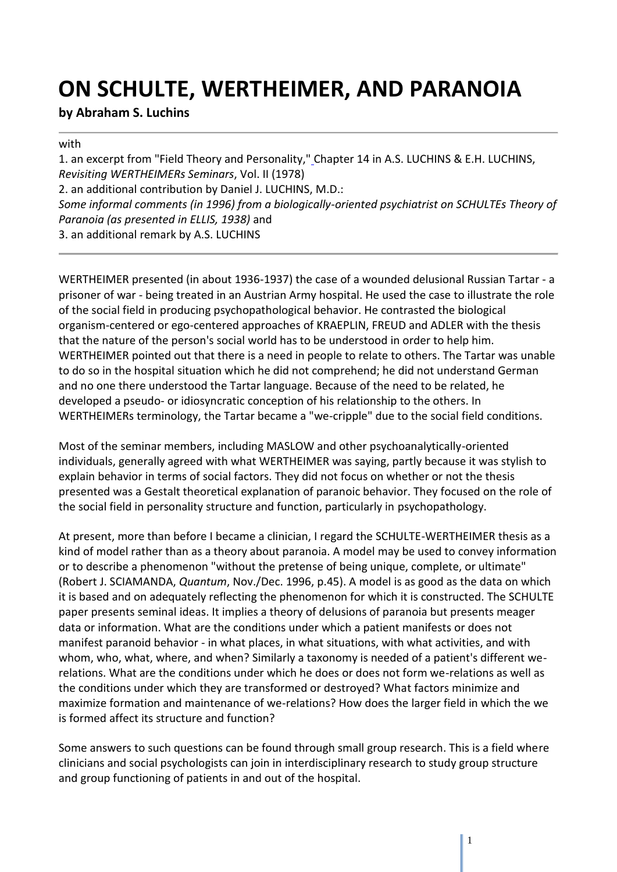# **ON SCHULTE, WERTHEIMER, AND PARANOIA**

#### **by Abraham S. Luchins**

#### with

1. an excerpt from "Field Theory and Personality," Chapter 14 in A.S. LUCHINS & E.H. LUCHINS, *Revisiting WERTHEIMERs Seminars*, Vol. II (1978) 2. an additional contribution by Daniel J. LUCHINS, M.D.: *Some informal comments (in 1996) from a biologically-oriented psychiatrist on SCHULTEs Theory of Paranoia (as presented in ELLIS, 1938)* and 3. an additional remark by A.S. LUCHINS

WERTHEIMER presented (in about 1936-1937) the case of a wounded delusional Russian Tartar - a prisoner of war - being treated in an Austrian Army hospital. He used the case to illustrate the role of the social field in producing psychopathological behavior. He contrasted the biological organism-centered or ego-centered approaches of KRAEPLIN, FREUD and ADLER with the thesis that the nature of the person's social world has to be understood in order to help him. WERTHEIMER pointed out that there is a need in people to relate to others. The Tartar was unable to do so in the hospital situation which he did not comprehend; he did not understand German and no one there understood the Tartar language. Because of the need to be related, he developed a pseudo- or idiosyncratic conception of his relationship to the others. In WERTHEIMERs terminology, the Tartar became a "we-cripple" due to the social field conditions.

Most of the seminar members, including MASLOW and other psychoanalytically-oriented individuals, generally agreed with what WERTHEIMER was saying, partly because it was stylish to explain behavior in terms of social factors. They did not focus on whether or not the thesis presented was a Gestalt theoretical explanation of paranoic behavior. They focused on the role of the social field in personality structure and function, particularly in psychopathology.

At present, more than before I became a clinician, I regard the SCHULTE-WERTHEIMER thesis as a kind of model rather than as a theory about paranoia. A model may be used to convey information or to describe a phenomenon "without the pretense of being unique, complete, or ultimate" (Robert J. SCIAMANDA, *Quantum*, Nov./Dec. 1996, p.45). A model is as good as the data on which it is based and on adequately reflecting the phenomenon for which it is constructed. The SCHULTE paper presents seminal ideas. It implies a theory of delusions of paranoia but presents meager data or information. What are the conditions under which a patient manifests or does not manifest paranoid behavior - in what places, in what situations, with what activities, and with whom, who, what, where, and when? Similarly a taxonomy is needed of a patient's different werelations. What are the conditions under which he does or does not form we-relations as well as the conditions under which they are transformed or destroyed? What factors minimize and maximize formation and maintenance of we-relations? How does the larger field in which the we is formed affect its structure and function?

Some answers to such questions can be found through small group research. This is a field where clinicians and social psychologists can join in interdisciplinary research to study group structure and group functioning of patients in and out of the hospital.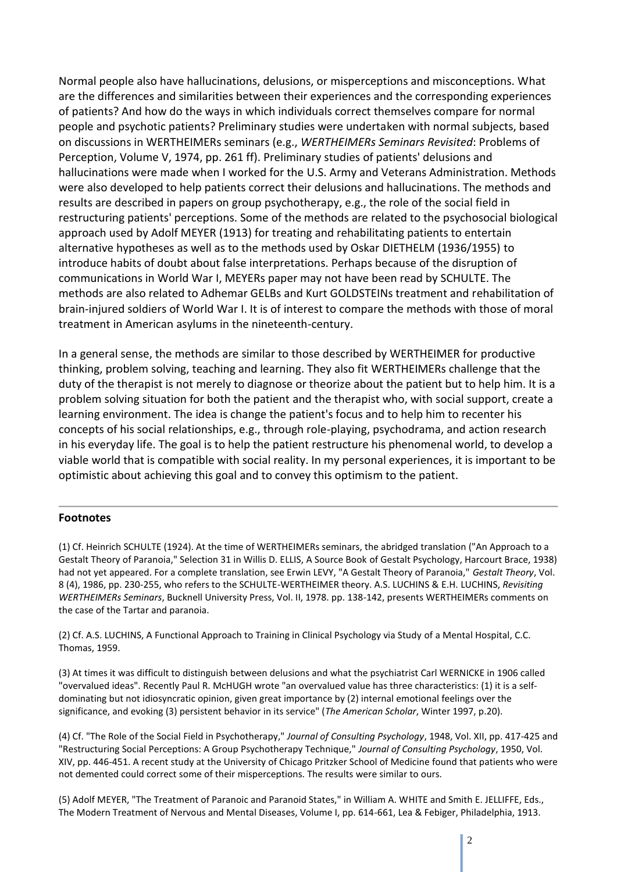Normal people also have hallucinations, delusions, or misperceptions and misconceptions. What are the differences and similarities between their experiences and the corresponding experiences of patients? And how do the ways in which individuals correct themselves compare for normal people and psychotic patients? Preliminary studies were undertaken with normal subjects, based on discussions in WERTHEIMERs seminars (e.g., *WERTHEIMERs Seminars Revisited*: Problems of Perception, Volume V, 1974, pp. 261 ff). Preliminary studies of patients' delusions and hallucinations were made when I worked for the U.S. Army and Veterans Administration. Methods were also developed to help patients correct their delusions and hallucinations. The methods and results are described in papers on group psychotherapy, e.g., the role of the social field in restructuring patients' perceptions. Some of the methods are related to the psychosocial biological approach used by Adolf MEYER (1913) for treating and rehabilitating patients to entertain alternative hypotheses as well as to the methods used by Oskar DIETHELM (1936/1955) to introduce habits of doubt about false interpretations. Perhaps because of the disruption of communications in World War I, MEYERs paper may not have been read by SCHULTE. The methods are also related to Adhemar GELBs and Kurt GOLDSTEINs treatment and rehabilitation of brain-injured soldiers of World War I. It is of interest to compare the methods with those of moral treatment in American asylums in the nineteenth-century.

In a general sense, the methods are similar to those described by WERTHEIMER for productive thinking, problem solving, teaching and learning. They also fit WERTHEIMERs challenge that the duty of the therapist is not merely to diagnose or theorize about the patient but to help him. It is a problem solving situation for both the patient and the therapist who, with social support, create a learning environment. The idea is change the patient's focus and to help him to recenter his concepts of his social relationships, e.g., through role-playing, psychodrama, and action research in his everyday life. The goal is to help the patient restructure his phenomenal world, to develop a viable world that is compatible with social reality. In my personal experiences, it is important to be optimistic about achieving this goal and to convey this optimism to the patient.

#### **Footnotes**

(1) Cf. Heinrich SCHULTE (1924). At the time of WERTHEIMERs seminars, the abridged translation ("An Approach to a Gestalt Theory of Paranoia," Selection 31 in Willis D. ELLIS, A Source Book of Gestalt Psychology, Harcourt Brace, 1938) had not yet appeared. For a complete translation, see Erwin LEVY, "A Gestalt Theory of Paranoia," *Gestalt Theory*, Vol. 8 (4), 1986, pp. 230-255, who refers to the SCHULTE-WERTHEIMER theory. A.S. LUCHINS & E.H. LUCHINS, *Revisiting WERTHEIMERs Seminars*, Bucknell University Press, Vol. II, 1978. pp. 138-142, presents WERTHEIMERs comments on the case of the Tartar and paranoia.

(2) Cf. A.S. LUCHINS, A Functional Approach to Training in Clinical Psychology via Study of a Mental Hospital, C.C. Thomas, 1959.

(3) At times it was difficult to distinguish between delusions and what the psychiatrist Carl WERNICKE in 1906 called "overvalued ideas". Recently Paul R. McHUGH wrote "an overvalued value has three characteristics: (1) it is a selfdominating but not idiosyncratic opinion, given great importance by (2) internal emotional feelings over the significance, and evoking (3) persistent behavior in its service" (*The American Scholar*, Winter 1997, p.20).

(4) Cf. "The Role of the Social Field in Psychotherapy," *Journal of Consulting Psychology*, 1948, Vol. XII, pp. 417-425 and "Restructuring Social Perceptions: A Group Psychotherapy Technique," *Journal of Consulting Psychology*, 1950, Vol. XIV, pp. 446-451. A recent study at the University of Chicago Pritzker School of Medicine found that patients who were not demented could correct some of their misperceptions. The results were similar to ours.

(5) Adolf MEYER, "The Treatment of Paranoic and Paranoid States," in William A. WHITE and Smith E. JELLIFFE, Eds., The Modern Treatment of Nervous and Mental Diseases, Volume I, pp. 614-661, Lea & Febiger, Philadelphia, 1913.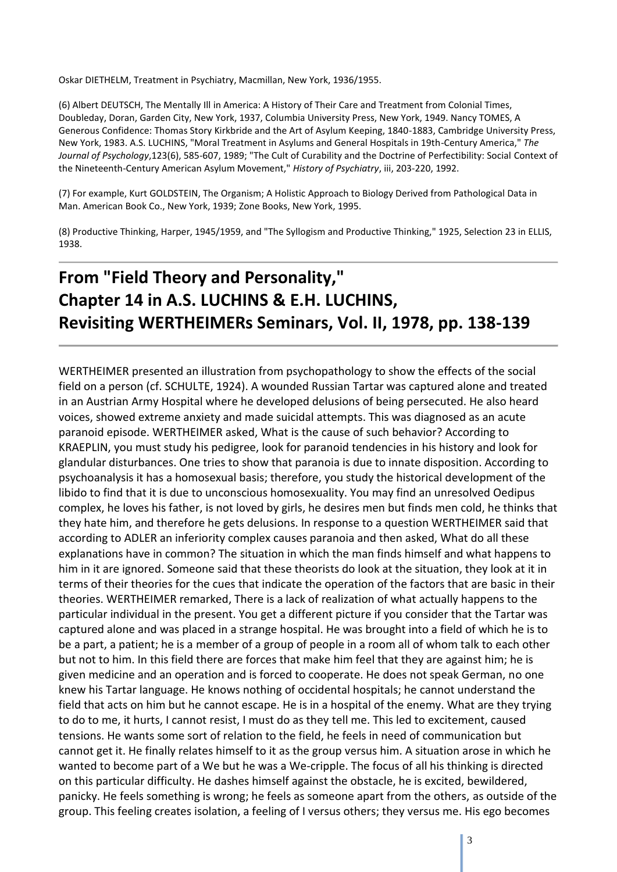Oskar DIETHELM, Treatment in Psychiatry, Macmillan, New York, 1936/1955.

(6) Albert DEUTSCH, The Mentally Ill in America: A History of Their Care and Treatment from Colonial Times, Doubleday, Doran, Garden City, New York, 1937, Columbia University Press, New York, 1949. Nancy TOMES, A Generous Confidence: Thomas Story Kirkbride and the Art of Asylum Keeping, 1840-1883, Cambridge University Press, New York, 1983. A.S. LUCHINS, "Moral Treatment in Asylums and General Hospitals in 19th-Century America," *The Journal of Psychology*,123(6), 585-607, 1989; "The Cult of Curability and the Doctrine of Perfectibility: Social Context of the Nineteenth-Century American Asylum Movement," *History of Psychiatry*, iii, 203-220, 1992.

(7) For example, Kurt GOLDSTEIN, The Organism; A Holistic Approach to Biology Derived from Pathological Data in Man. American Book Co., New York, 1939; Zone Books, New York, 1995.

(8) Productive Thinking, Harper, 1945/1959, and "The Syllogism and Productive Thinking," 1925, Selection 23 in ELLIS, 1938.

## **From "Field Theory and Personality," Chapter 14 in A.S. LUCHINS & E.H. LUCHINS, Revisiting WERTHEIMERs Seminars, Vol. II, 1978, pp. 138-139**

WERTHEIMER presented an illustration from psychopathology to show the effects of the social field on a person (cf. SCHULTE, 1924). A wounded Russian Tartar was captured alone and treated in an Austrian Army Hospital where he developed delusions of being persecuted. He also heard voices, showed extreme anxiety and made suicidal attempts. This was diagnosed as an acute paranoid episode. WERTHEIMER asked, What is the cause of such behavior? According to KRAEPLIN, you must study his pedigree, look for paranoid tendencies in his history and look for glandular disturbances. One tries to show that paranoia is due to innate disposition. According to psychoanalysis it has a homosexual basis; therefore, you study the historical development of the libido to find that it is due to unconscious homosexuality. You may find an unresolved Oedipus complex, he loves his father, is not loved by girls, he desires men but finds men cold, he thinks that they hate him, and therefore he gets delusions. In response to a question WERTHEIMER said that according to ADLER an inferiority complex causes paranoia and then asked, What do all these explanations have in common? The situation in which the man finds himself and what happens to him in it are ignored. Someone said that these theorists do look at the situation, they look at it in terms of their theories for the cues that indicate the operation of the factors that are basic in their theories. WERTHEIMER remarked, There is a lack of realization of what actually happens to the particular individual in the present. You get a different picture if you consider that the Tartar was captured alone and was placed in a strange hospital. He was brought into a field of which he is to be a part, a patient; he is a member of a group of people in a room all of whom talk to each other but not to him. In this field there are forces that make him feel that they are against him; he is given medicine and an operation and is forced to cooperate. He does not speak German, no one knew his Tartar language. He knows nothing of occidental hospitals; he cannot understand the field that acts on him but he cannot escape. He is in a hospital of the enemy. What are they trying to do to me, it hurts, I cannot resist, I must do as they tell me. This led to excitement, caused tensions. He wants some sort of relation to the field, he feels in need of communication but cannot get it. He finally relates himself to it as the group versus him. A situation arose in which he wanted to become part of a We but he was a We-cripple. The focus of all his thinking is directed on this particular difficulty. He dashes himself against the obstacle, he is excited, bewildered, panicky. He feels something is wrong; he feels as someone apart from the others, as outside of the group. This feeling creates isolation, a feeling of I versus others; they versus me. His ego becomes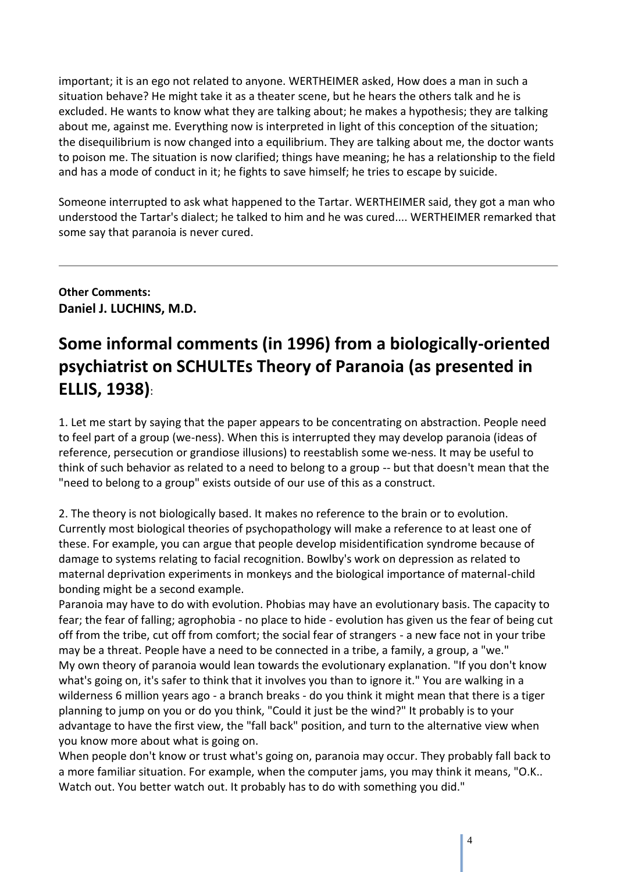important; it is an ego not related to anyone. WERTHEIMER asked, How does a man in such a situation behave? He might take it as a theater scene, but he hears the others talk and he is excluded. He wants to know what they are talking about; he makes a hypothesis; they are talking about me, against me. Everything now is interpreted in light of this conception of the situation; the disequilibrium is now changed into a equilibrium. They are talking about me, the doctor wants to poison me. The situation is now clarified; things have meaning; he has a relationship to the field and has a mode of conduct in it; he fights to save himself; he tries to escape by suicide.

Someone interrupted to ask what happened to the Tartar. WERTHEIMER said, they got a man who understood the Tartar's dialect; he talked to him and he was cured.... WERTHEIMER remarked that some say that paranoia is never cured.

**Other Comments: Daniel J. LUCHINS, M.D.**

### **Some informal comments (in 1996) from a biologically-oriented psychiatrist on SCHULTEs Theory of Paranoia (as presented in ELLIS, 1938)**:

1. Let me start by saying that the paper appears to be concentrating on abstraction. People need to feel part of a group (we-ness). When this is interrupted they may develop paranoia (ideas of reference, persecution or grandiose illusions) to reestablish some we-ness. It may be useful to think of such behavior as related to a need to belong to a group -- but that doesn't mean that the "need to belong to a group" exists outside of our use of this as a construct.

2. The theory is not biologically based. It makes no reference to the brain or to evolution. Currently most biological theories of psychopathology will make a reference to at least one of these. For example, you can argue that people develop misidentification syndrome because of damage to systems relating to facial recognition. Bowlby's work on depression as related to maternal deprivation experiments in monkeys and the biological importance of maternal-child bonding might be a second example.

Paranoia may have to do with evolution. Phobias may have an evolutionary basis. The capacity to fear; the fear of falling; agrophobia - no place to hide - evolution has given us the fear of being cut off from the tribe, cut off from comfort; the social fear of strangers - a new face not in your tribe may be a threat. People have a need to be connected in a tribe, a family, a group, a "we." My own theory of paranoia would lean towards the evolutionary explanation. "If you don't know what's going on, it's safer to think that it involves you than to ignore it." You are walking in a wilderness 6 million years ago - a branch breaks - do you think it might mean that there is a tiger planning to jump on you or do you think, "Could it just be the wind?" It probably is to your advantage to have the first view, the "fall back" position, and turn to the alternative view when you know more about what is going on.

When people don't know or trust what's going on, paranoia may occur. They probably fall back to a more familiar situation. For example, when the computer jams, you may think it means, "O.K.. Watch out. You better watch out. It probably has to do with something you did."